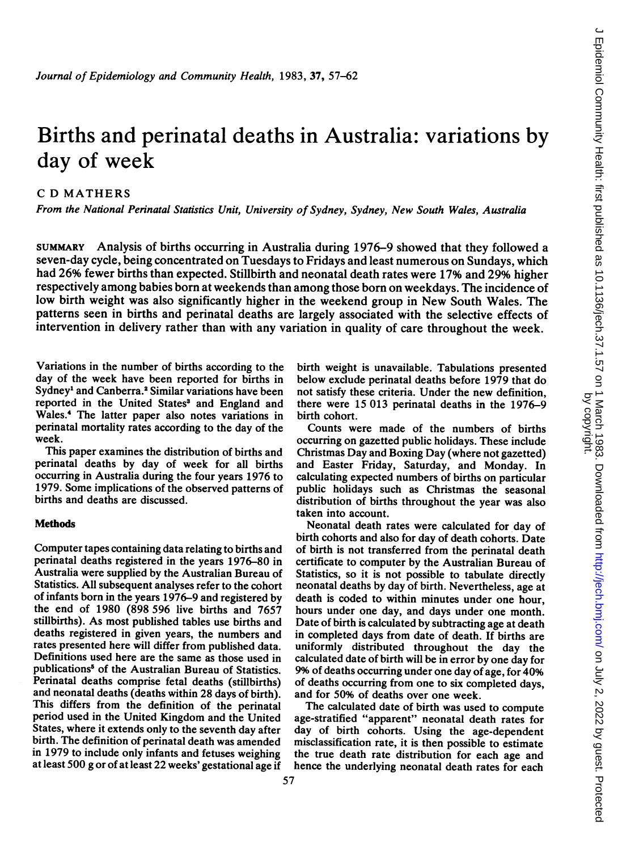# Births and perinatal deaths in Australia: variations by day of week

C D MATHERS

From the National Perinatal Statistics Unit, University of Sydney, Sydney, New South Wales, Australia

SUMMARY Analysis of births occurring in Australia during 1976-9 showed that they followed <sup>a</sup> seven-day cycle, being concentrated on Tuesdays to Fridays and least numerous on Sundays, which had 26% fewer births than expected. Stillbirth and neonatal death rates were 17% and 29% higher respectively among babies born at weekends than among those born on weekdays. The incidence of low birth weight was also significantly higher in the weekend group in New South Wales. The patterns seen in births and perinatal deaths are largely associated with the selective effects of intervention in delivery rather than with any variation in quality of care throughout the week.

Variations in the number of births according to the day of the week have been reported for births in Sydney<sup>1</sup> and Canberra.<sup>2</sup> Similar variations have been reported in the United States' and England and Wales.4 The latter paper also notes variations in perinatal mortality rates according to the day of the week.

This paper examines the distribution of births and perinatal deaths by day of week for all births occurring in Australia during the four years 1976 to 1979. Some implications of the observed patterns of births and deaths are discussed.

# Methods

Computer tapes containing data relating to births and perinatal deaths registered in the years 1976-80 in Australia were supplied by the Australian Bureau of Statistics. All subsequent analyses refer to the cohort of infants born in the years 1976-9 and registered by the end of 1980 (898 596 live births and 7657 stillbirths). As most published tables use births and deaths registered in given years, the numbers and rates presented here will differ from published data. Definitions used here are the same as those used in publications<sup>5</sup> of the Australian Bureau of Statistics. Perinatal deaths comprise fetal deaths (stillbirths) and neonatal deaths (deaths within 28 days of birth). This differs from the definition of the perinatal period used in the United Kingdom and the United States, where it extends only to the seventh day after birth. The definition of perinatal death was amended in 1979 to include only infants and fetuses weighing at least 500 g or of at least 22 weeks' gestational age if

birth weight is unavailable. Tabulations presented below exclude perinatal deaths before 1979 that do not satisfy these criteria. Under the new definition, there were 15 013 perinatal deaths in the 1976-9 birth cohort.

Counts were made of the numbers of births occurring on gazetted public holidays. These include Christmas Day and Boxing Day (where not gazetted) and Easter Friday, Saturday, and Monday. In calculating expected numbers of births on particular public holidays such as Christmas the seasonal distribution of births throughout the year was also taken into account.

Neonatal death rates were calculated for day of birth cohorts and also for day of death cohorts. Date of birth is not transferred from the perinatal death certificate to computer by the Australian Bureau of Statistics, so it is not possible to tabulate directly neonatal deaths by day of birth. Nevertheless, age at death is coded to within minutes under one hour, hours under one day, and days under one month. Date of birth is calculated by subtracting age at death in completed days from date of death. If births are uniformly distributed throughout the day the calculated date of birth will be in error by one day for 9% of deaths occurring under one day of age, for 40% of deaths occurring from one to six completed days, and for 50% of deaths over one week.

The calculated date of birth was used to compute age-stratified "apparent" neonatal death rates for day of birth cohorts. Using the age-dependent misclassification rate, it is then possible to estimate the true death rate distribution for each age and hence the underlying neonatal death rates for each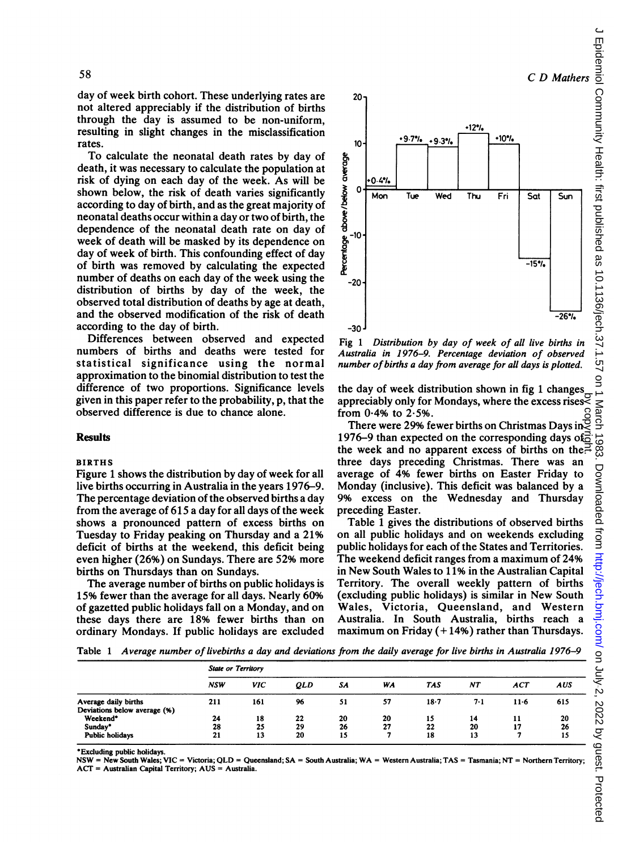day of week birth cohort. These underlying rates are not altered appreciably if the distribution of births through the day is assumed to be non-uniform, resulting in slight changes in the misclassification rates.

To calculate the neonatal death rates by day of death, it was necessary to calculate the population at risk of dying on each day of the week. As will be shown below, the risk of death varies significantly according to day of birth, and as the great majority of neonatal deaths occur within a day or two of birth, the dependence of the neonatal death rate on day of week of death will be masked by its dependence on day of week of birth. This confounding effect of day of birth was removed by calculating the expected number of deaths on each day of the week using the distribution of births by day of the week, the observed total distribution of deaths by age at death, and the observed modification of the risk of death according to the day of birth.

Differences between observed and expected numbers of births and deaths were tested for statistical significance using the normal approximation to the binomial distribution to test the difference of two proportions. Significance levels given in this paper refer to the probability, p, that the observed difference is due to chance alone.

# **Results**

#### BIRTHS

Figure <sup>1</sup> shows the distribution by day of week for all live births occurring in Australia in the years 1976-9. The percentage deviation of the observed births a day from the average of 615 a day for all days of the week shows a pronounced pattern of excess births on Tuesday to Friday peaking on Thursday and a 21% deficit of births at the weekend, this deficit being even higher (26%) on Sundays. There are 52% more births on Thursdays than on Sundays.

The average number of births on public holidays is 15% fewer than the average for all days. Nearly 60% of gazetted public holidays fall on a Monday, and on these days there are 18% fewer births than on ordinary Mondays. If public holidays are excluded



Fig <sup>1</sup> Distribution by day of week of all live births in Australia in 1976-9. Percentage deviation of observed number of births a day from average for all days is plotted.

the day of week distribution shown in fig <sup>1</sup> changes appreciably only for Mondays, where the excess rises from  $0.4%$  to  $2.5%$ .

There were 29% fewer births on Christmas Days in  $\mathbb S$ 1976–9 than expected on the corresponding days of  $\overline{6}$ the week and no apparent excess of births on the.<sup>7</sup> three days preceding Christmas. There was an average of 4% fewer births on Easter Friday to Monday (inclusive). This deficit was balanced by a 9% excess on the Wednesday and Thursday preceding Easter. by copyright.

Table 1 gives the distributions of observed births on all public holidays and on weekends excluding public holidays for each of the States and Territories. The weekend deficit ranges from a maximum of 24% in New South Wales to 11% in the Australian Capital Territory. The overall weekly pattern of births (excluding public holidays) is similar in New South Wales, Victoria, Queensland, and Western Australia. In South Australia, births reach a maximum on Friday  $(+14%)$  rather than Thursdays.

Table <sup>1</sup> Average number of livebirths a day and deviations from the daily average for live births in Australia 1976-9

|                                                      | <b>State or Territory</b> |            |            |          |          |          |          |            |            |  |
|------------------------------------------------------|---------------------------|------------|------------|----------|----------|----------|----------|------------|------------|--|
|                                                      | <b>NSW</b>                | <b>VIC</b> | <b>QLD</b> | SА       | WA       | TAS      | NΤ       | <b>ACT</b> | <b>AUS</b> |  |
| Average daily births<br>Deviations below average (%) | 211                       | 161        | 96         | 51       | 57       | $18 - 7$ | 7.1      | $11-6$     | 615        |  |
| Weekend*<br>Sunday*                                  | 24<br>28                  | 18<br>25   | 22<br>29   | 20<br>26 | 20<br>27 | 15<br>22 | 14<br>20 | 11<br>17   | 20<br>26   |  |
| <b>Public holidays</b>                               | 21                        | 13         | 20         | 15       |          | 18       | 13       |            | 15         |  |

Excluding public holidays.

NSW = New South Wales; VIC = Victoria; QLD = Queensland; SA = South Australia; WA <sup>=</sup> Western Australia; TAS <sup>=</sup> Tasmania; NT = Northern Territory; ACr = Australian Capital Territory; AUS = Australia.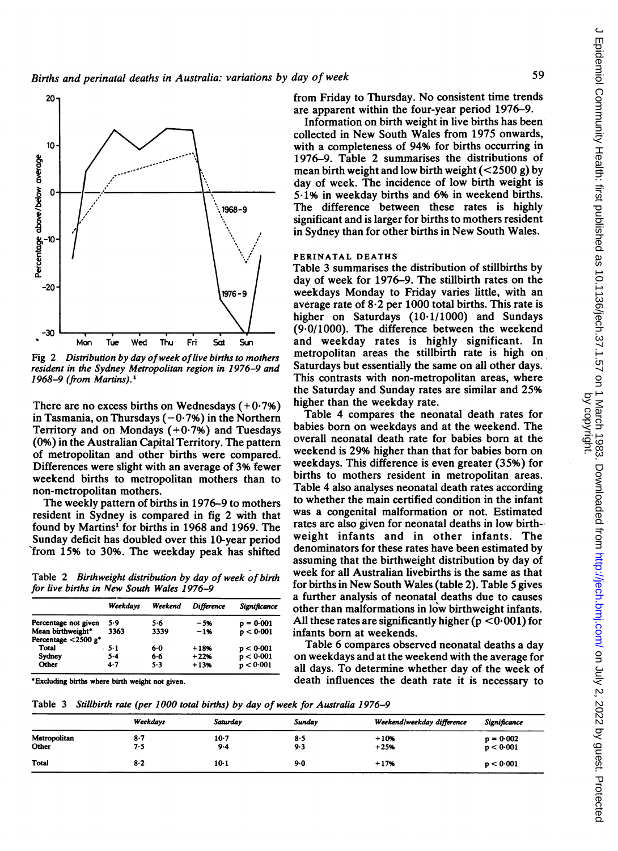

Fig 2 Distribution by day ofweek oflive births to mothers resident in the Sydney Metropolitan region in 1976-9 and 1968-9 (from Martins). $<sup>1</sup>$ </sup>

There are no excess births on Wednesdays  $(+0.7%)$ in Tasmania, on Thursdays  $(-0.7%)$  in the Northern Territory and on Mondays (+0-7%) and Tuesdays (0%) in the Australian Capital Territory. The pattern of metropolitan and other births were compared. Differences were slight with an average of 3% fewer weekend births to metropolitan mothers than to non-metropolitan mothers.

The weekly pattern of births in 1976-9 to mothers resident in Sydney is compared in fig 2 with that found by Martins" for births in 1968 and 1969. The Sunday deficit has doubled over this 10-year period from 15% to 30%. The weekday peak has shifted

Table 2 Birthweight distribution by day of week of birth for live births in New South Wales 1976-9

|                                    | Weekdavs | Weekend | <b>Difference</b> | Significance |
|------------------------------------|----------|---------|-------------------|--------------|
| Percentage not given               | 5.9      | 5.6     | $-5%$             | $p = 0.001$  |
| Mean birthweight*                  | 3363     | 3339    | $-1%$             | p < 0.001    |
| Percentage $<$ 2500 g <sup>*</sup> |          |         |                   |              |
| Total                              | - 5-1    | 60      | $+18%$            | p < 0.001    |
| Sydney                             | $5 - 4$  | 6.6     | $+22%$            | p < 0.001    |
| Other                              | $4 - 7$  | 5.3     | $+13%$            | p < 0.001    |

Excluding births where birth weight not given.

from Friday to Thursday. No consistent time trends are apparent within the four-year period 1976-9.

Information on birth weight in live births has been collected in New South Wales from 1975 onwards, with a completeness of 94% for births occurring in 1976-9. Table 2 summarises the distributions of mean birth weight and low birth weight  $(<2500 g$ ) by day of week. The incidence of low birth weight is 5-1% in weekday births and 6% in weekend births. The difference between these rates is highly significant and is larger for births to mothers resident in Sydney than for other births in New South Wales.

#### PERINATAL DEATHS

Table 3 summarises the distribution of stillbirths by day of week for 1976-9. The stillbirth rates on the weekdays Monday to Friday varies little, with an average rate of  $8·2$  per 1000 total births. This rate is higher on Saturdays (10.1/1000) and Sundays (9.0/1000). The difference between the weekend and weekday rates is highly significant. In metropolitan areas the stillbirth rate is high on-Saturdays but essentially the same on all other days. This contrasts with non-metropolitan areas, where the Saturday and Sunday rates are similar and 25% higher than the weekday rate.

Table 4 compares the neonatal death rates for babies born on weekdays and at the weekend. The overall neonatal death rate for babies born at the weekend is 29% higher than that for babies born on weekdays. This difference is even greater (35%) for births to mothers resident in metropolitan areas. Table 4 also analyses neonatal death rates according to whether the main certified condition in the infant was a congenital malformation or not. Estimated rates are also given for neonatal deaths in low birthweight infants and in other infants. The denominators for these rates have been estimated by assuming that the birthweight distribution by day of week for all Australian livebirths is the same as that for births in New South Wales (table 2). Table <sup>5</sup> gives a further analysis of neonatal deaths due to causes other than malformations in low birthweight infants. All these rates are significantly higher ( $p < 0.001$ ) for infants born at weekends.

Table 6 compares observed neonatal deaths a day on weekdays and at the weekend with the average for all days. To determine whether day of the week of death influences the death rate it is necessary to

Table 3 Stillbirth rate (per 1000 total births) by day of week for Australia 1976-9

|                       | Weekdays     | Saturday          | Sundav     | Weekend/weekday difference | Significance             |
|-----------------------|--------------|-------------------|------------|----------------------------|--------------------------|
| Metropolitan<br>Other | $8-7$<br>7.5 | $10-7$<br>$9 - 4$ | 8.5<br>9.3 | $+10%$<br>$+25%$           | $p = 0.002$<br>p < 0.001 |
| <b>Total</b>          | $8-2$        | $10-1$            | $9-0$      | $+17%$                     | p < 0.001                |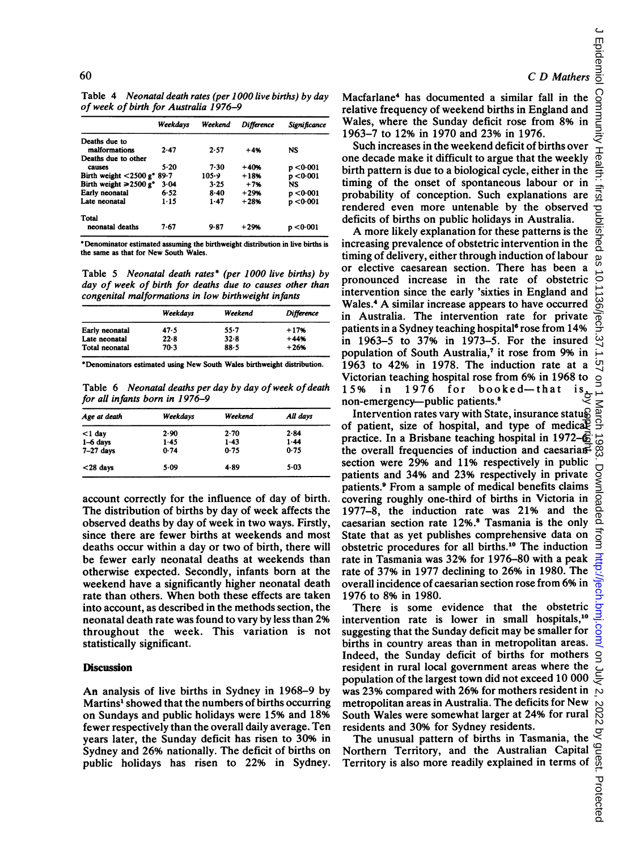Table 4 Neonatal death rates (per 1000 live births) by day of week of birth for Australia 1976-9

|                                           | Weekdays | Weekend  | Difference | Significance |
|-------------------------------------------|----------|----------|------------|--------------|
| Deaths due to                             |          |          |            |              |
| malformations                             | 2.47     | 2.57     | $+4%$      | NS           |
| Deaths due to other                       |          |          |            |              |
| causes                                    | 5.20     | 7.30     | $+40%$     | p < 0.001    |
| Birth weight $<$ 2500 g <sup>*</sup> 89.7 |          | 105.9    | $+18%$     | p < 0.001    |
| Birth weight $\geq 2500$ g <sup>*</sup>   | 3.04     | 3.25     | $+7%$      | NS           |
| Early neonatal                            | 6.52     | $8 - 40$ | $+29%$     | p < 0.001    |
| Late neonatal                             | $1 - 15$ | $1 - 47$ | $+28%$     | p < 0.001    |
| Total                                     |          |          |            |              |
| neonatal deaths                           | 7.67     | 9.87     | $+29%$     | p <0∙001     |

\*Denominator estimated assuming the birthweight diatribution in live births is the same as that for New South Wales.

Table 5 Neonatal death rates\* (per 1000 live births) by day of week of birth for deaths due to causes other than congenital malformations in low birthweight infants

|                | Weekdavs | Weekend  | <b>Difference</b> |
|----------------|----------|----------|-------------------|
| Early neonatal | 47.5     | $55 - 7$ | $+17%$            |
| Late neonatal  | 22.8     | $32 - 8$ | $+44%$            |
| Total neonatal | 70.3     | 88.5     | $+26%$            |
|                |          |          |                   |

Denominators estimated using New South Wales birthweight distribution.

Table 6 Neonatal deaths per day by day of week of death for all infants born in 1976-9

| Age at death | Weekdavs | Weekend | All days |  |
|--------------|----------|---------|----------|--|
| $<$ 1 day    | 2.90     | 2.70    | 2.84     |  |
| $1-6$ days   | 1.45     | $1-43$  | 1.44     |  |
| $7-27$ days  | 0.74     | 0.75    | 0.75     |  |
| $<$ 28 days  | $5-09$   | 4.89    | 5.03     |  |

account correctly for the influence of day of birth. The distribution of births by day of week affects the observed deaths by day of week in two ways. Firstly, since there are fewer births at weekends and most deaths occur within a day or two of birth, there will be fewer early neonatal deaths at weekends than otherwise expected. Secondly, infants born at the weekend have a significantly higher neonatal death rate than others. When both these effects are taken into account, as described in the methods section, the neonatal death rate was found to vary by less than 2% throughout the week. This variation is not statistically significant.

### **Discussion**

An analysis of live births in Sydney in 1968-9 by Martins" showed that the numbers of births occurring on Sundays and public holidays were 15% and 18% fewer respectively than the overall daily average. Ten years later, the Sunday deficit has risen to 30% in Sydney and 26% nationally. The deficit of births on public holidays has risen to 22% in Sydney. Macfarlane4 has documented a similar fall in the relative frequency of weekend births in England and Wales, where the Sunday deficit rose from 8% in 1963-7 to 12% in 1970 and 23% in 1976.

Such increases in the weekend deficit of births over one decade make it difficult to argue that the weekly birth pattern is due to a biological cycle, either in the timing of the onset of spontaneous labour or in probability of conception. Such explanations are rendered even more untenable by the observed deficits of births on public holidays in Australia.

A more likely explanation for these patterns is the increasing prevalence of obstetric intervention in the timing of delivery, either through induction of labour or elective caesarean section. There has been a pronounced increase in the rate of obstetric intervention since the early 'sixties in England and Wales.4 A similar increase appears to have occurred in Australia. The intervention rate for private patients in a Sydney teaching hospital<sup>6</sup> rose from 14% in 1963-5 to 37% in 1973-5. For the insured population of South Australia,<sup>7</sup> it rose from 9% in 1963 to 42% in 1978. The induction rate at a Victorian teaching hospital rose from 6% in 1968 to<br>15% in 1976 for booked—that is<br> $\frac{1}{2}$  $15\%$  in  $1976$  for booked-that non-emergency--public patients.<sup>8</sup>

Intervention rates vary with State, insurance status of patient, size of hospital, and type of medical practice. In a Brisbane teaching hospital in 1972– $\vec{6}$ the overall frequencies of induction and caesariansection were 29% and 11% respectively in public patients and 34% and 23% respectively in private patients.9 From a sample of medical benefits claims covering roughly one-third of births in Victoria in 1977-8, the induction rate was 21% and the caesarian section rate 12%.8 Tasmania is the only State that as yet publishes comprehensive data on obstetric procedures for all births.10 The induction rate in Tasmania was 32% for 1976-80 with a peak rate of 37% in 1977 declining to 26% in 1980. The overall incidence of caesarian section rose from 6% in 1976 to 8% in 1980. non-emergency—public patients.<sup>8</sup><br>Intervention rates vary with State, insurance statuge<br>of patient, size of hospital, and type of medical<br>practice. In a Brisbane teaching hospital in 1972– $\overline{6}$ <br>the overall frequencies

There is some evidence that the obstetric intervention rate is lower in small hospitals,<sup>10</sup> suggesting that the Sunday deficit may be smaller for births in country areas than in metropolitan areas. Indeed, the Sunday deficit of births for mothers resident in rural local government areas where the population of the largest town did not exceed 10 000 was 23% compared with 26% for mothers resident in metropolitan areas in Australia. The deficits for New South Wales were somewhat larger at 24% for rural residents and 30% for Sydney residents.

The unusual pattern of births in Tasmania, the Northern Territory, and the Australian Capital Centeritory is also more readily explained in terms of and property.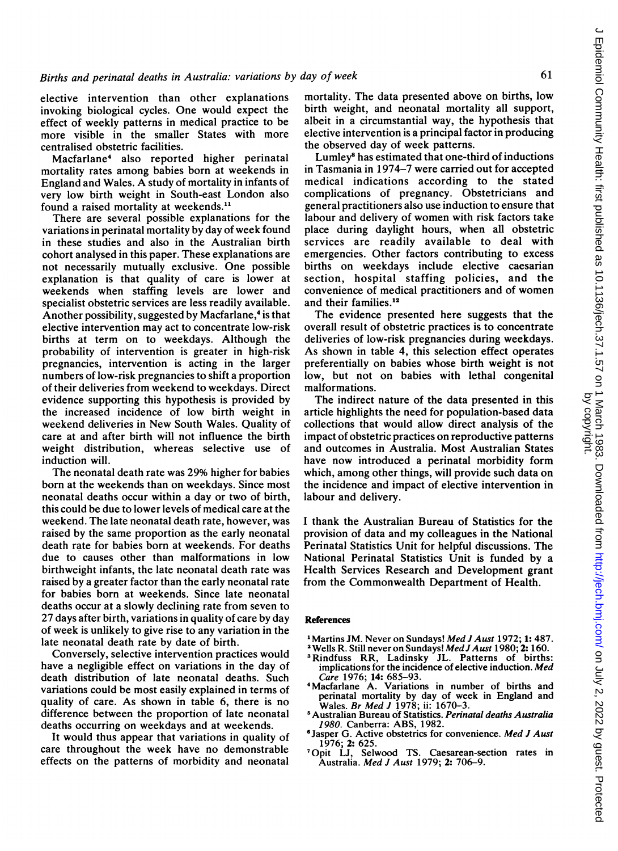elective intervention than other explanations invoking biological cycles. One would expect the effect of weekly patterns in medical practice to be more visible in the smaller States with more centralised obstetric facilities.

Macfarlane4 also reported higher perinatal mortality rates among babies born at weekends in England and Wales. A study of mortality in infants of very low birth weight in South-east London also found a raised mortality at weekends.'1

There are several possible explanations for the variations in perinatal mortality by day of week found in these studies and also in the Australian birth cohort analysed in this paper. These explanations are not necessarily mutually exclusive. One possible explanation is that quality of care is lower at weekends when staffing levels are lower and specialist obstetric services are less readily available. Another possibility, suggested by Macfarlane,<sup>4</sup> is that elective intervention may act to concentrate low-risk births at term on to weekdays. Although the probability of intervention is greater in high-risk pregnancies, intervention is acting in the larger numbers of low-risk pregnancies to shift a proportion of their deliveries from weekend to weekdays. Direct evidence supporting this hypothesis is provided by the increased incidence of low birth weight in weekend deliveries in New South Wales. Quality of care at and after birth will not influence the birth weight distribution, whereas selective use of induction will.

The neonatal death rate was 29% higher for babies born at the weekends than on weekdays. Since most neonatal deaths occur within a day or two of birth, this could be due to lower levels of medical care at the weekend. The late neonatal death rate, however, was raised by the same proportion as the early neonatal death rate for babies born at weekends. For deaths due to causes other than malformations in low birthweight infants, the late neonatal death rate was raised by a greater factor than the early neonatal rate for babies born at weekends. Since late neonatal deaths occur at a slowly declining rate from seven to 27 days after birth, variations in quality of care by day of week is unlikely to give rise to any variation in the late neonatal death rate by date of birth.

Conversely, selective intervention practices would have a negligible effect on variations in the day of death distribution of late neonatal deaths. Such variations could be most easily explained in terms of quality of care. As shown in table 6, there is no difference between the proportion of late neonatal deaths occurring on weekdays and at weekends.

It would thus appear that variations in quality of care throughout the week have no demonstrable effects on the patterns of morbidity and neonatal

mortality. The data presented above on births, low birth weight, and neonatal mortality all support, albeit in a circumstantial way, the hypothesis that elective intervention is a principal factor in producing the observed day of week patterns.

Lumley' has estimated that one-third of inductions in Tasmania in 1974-7 were carried out for accepted medical indications according to the stated complications of pregnancy. Obstetricians and general practitioners also use induction to ensure that labour and delivery of women with risk factors take place during daylight hours, when all obstetric services are readily available to deal with emergencies. Other factors contributing to excess births on weekdays include elective caesarian section, hospital staffing policies, and the convenience of medical practitioners and of women and their families.<sup>12</sup>

The evidence presented here suggests that the overall result of obstetric practices is to concentrate deliveries of low-risk pregnancies during weekdays. As shown in table 4, this selection effect operates preferentially on babies whose birth weight is not low, but not on babies with lethal congenital malformations.

The indirect nature of the data presented in this article highlights the need for population-based data collections that would allow direct analysis of the impact of obstetric practices on reproductive patterns and outcomes in Australia. Most Australian States have now introduced a perinatal morbidity form which, among other things, will provide such data on the incidence and impact of elective intervention in labour and delivery.

<sup>I</sup> thank the Australian Bureau of Statistics for the provision of data and my colleagues in the National Perinatal Statistics Unit for helpful discussions. The National Perinatal Statistics Unit is funded by a Health Services Research and Development grant from the Commonwealth Department of Health.

# References

- <sup>1</sup> Martins JM. Never on Sundays! Med J Aust 1972; 1: 487.
- <sup>2</sup> Wells R. Still never on Sundays! Med J Aust 1980; 2: 160.
- <sup>3</sup> Rindfuss RR, Ladinsky JL. Patterns of births: implications for the incidence of elective induction. Med Care 1976; 14: 685-93.
- <sup>4</sup> Macfarlane A. Variations in number of births and perinatal mortality by day of week in England and Wales. *Br Med J* 1978; ii: 1670–3.
- <sup>5</sup> Australian Bureau of Statistics. Perinatal deaths Australia 1980. Canberra: ABS, 1982.
- <sup>6</sup> Jasper G. Active obstetrics for convenience. Med J Aust 1976; 2: 625.
- 7Opit LJ, Selwood TS. Caesarean-section rates in Australia. Med J Aust 1979; 2: 706-9.

 $\subset$